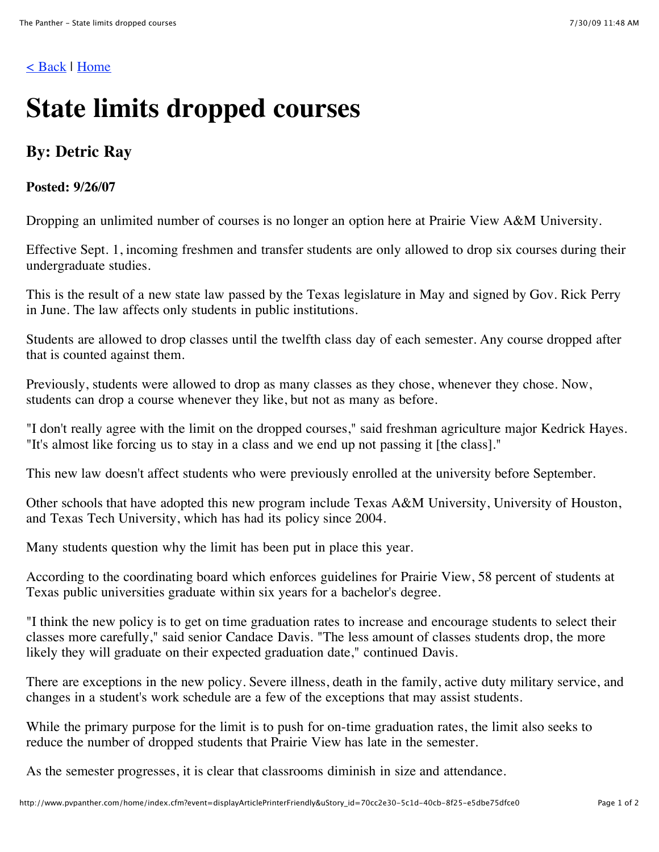## [< Back](javascript:%20history.back();) | [Home](http://www.pvpanther.com/home/)

## **State limits dropped courses**

## **By: Detric Ray**

## **Posted: 9/26/07**

Dropping an unlimited number of courses is no longer an option here at Prairie View A&M University.

Effective Sept. 1, incoming freshmen and transfer students are only allowed to drop six courses during their undergraduate studies.

This is the result of a new state law passed by the Texas legislature in May and signed by Gov. Rick Perry in June. The law affects only students in public institutions.

Students are allowed to drop classes until the twelfth class day of each semester. Any course dropped after that is counted against them.

Previously, students were allowed to drop as many classes as they chose, whenever they chose. Now, students can drop a course whenever they like, but not as many as before.

"I don't really agree with the limit on the dropped courses," said freshman agriculture major Kedrick Hayes. "It's almost like forcing us to stay in a class and we end up not passing it [the class]."

This new law doesn't affect students who were previously enrolled at the university before September.

Other schools that have adopted this new program include Texas A&M University, University of Houston, and Texas Tech University, which has had its policy since 2004.

Many students question why the limit has been put in place this year.

According to the coordinating board which enforces guidelines for Prairie View, 58 percent of students at Texas public universities graduate within six years for a bachelor's degree.

"I think the new policy is to get on time graduation rates to increase and encourage students to select their classes more carefully," said senior Candace Davis. "The less amount of classes students drop, the more likely they will graduate on their expected graduation date," continued Davis.

There are exceptions in the new policy. Severe illness, death in the family, active duty military service, and changes in a student's work schedule are a few of the exceptions that may assist students.

While the primary purpose for the limit is to push for on-time graduation rates, the limit also seeks to reduce the number of dropped students that Prairie View has late in the semester.

As the semester progresses, it is clear that classrooms diminish in size and attendance.